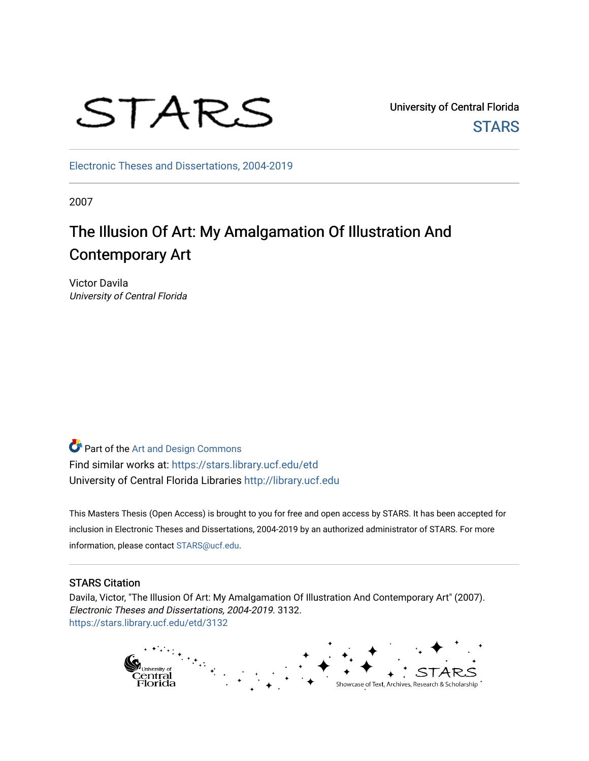# STARS

University of Central Florida **STARS** 

[Electronic Theses and Dissertations, 2004-2019](https://stars.library.ucf.edu/etd) 

2007

## The Illusion Of Art: My Amalgamation Of Illustration And Contemporary Art

Victor Davila University of Central Florida

**Part of the [Art and Design Commons](http://network.bepress.com/hgg/discipline/1049?utm_source=stars.library.ucf.edu%2Fetd%2F3132&utm_medium=PDF&utm_campaign=PDFCoverPages)** Find similar works at: <https://stars.library.ucf.edu/etd> University of Central Florida Libraries [http://library.ucf.edu](http://library.ucf.edu/) 

This Masters Thesis (Open Access) is brought to you for free and open access by STARS. It has been accepted for inclusion in Electronic Theses and Dissertations, 2004-2019 by an authorized administrator of STARS. For more information, please contact [STARS@ucf.edu.](mailto:STARS@ucf.edu)

## STARS Citation

Davila, Victor, "The Illusion Of Art: My Amalgamation Of Illustration And Contemporary Art" (2007). Electronic Theses and Dissertations, 2004-2019. 3132. [https://stars.library.ucf.edu/etd/3132](https://stars.library.ucf.edu/etd/3132?utm_source=stars.library.ucf.edu%2Fetd%2F3132&utm_medium=PDF&utm_campaign=PDFCoverPages) 

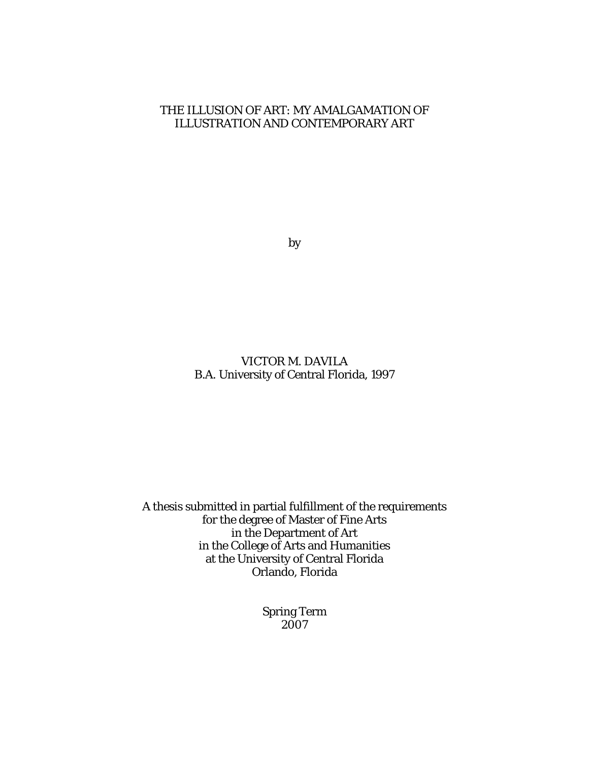## THE ILLUSION OF ART: MY AMALGAMATION OF ILLUSTRATION AND CONTEMPORARY ART

by

## VICTOR M. DAVILA B.A. University of Central Florida, 1997

A thesis submitted in partial fulfillment of the requirements for the degree of Master of Fine Arts in the Department of Art in the College of Arts and Humanities at the University of Central Florida Orlando, Florida

> Spring Term 2007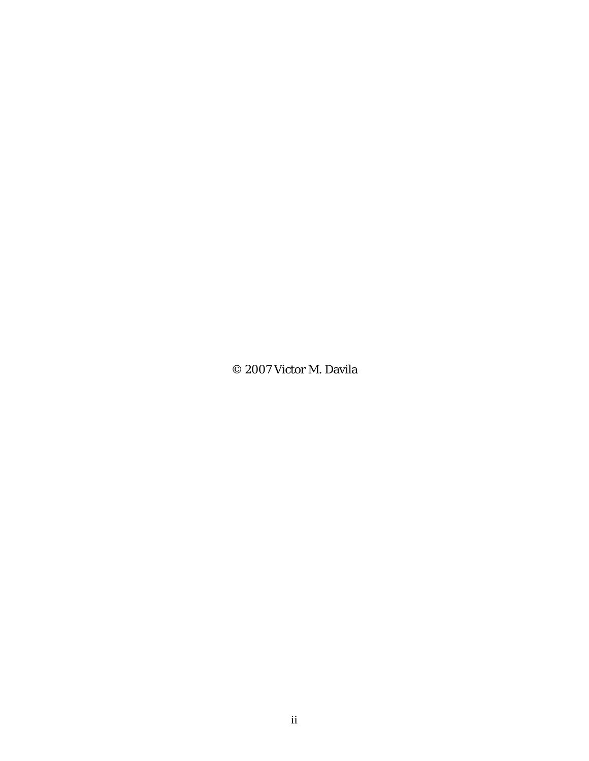© 2007 Victor M. Davila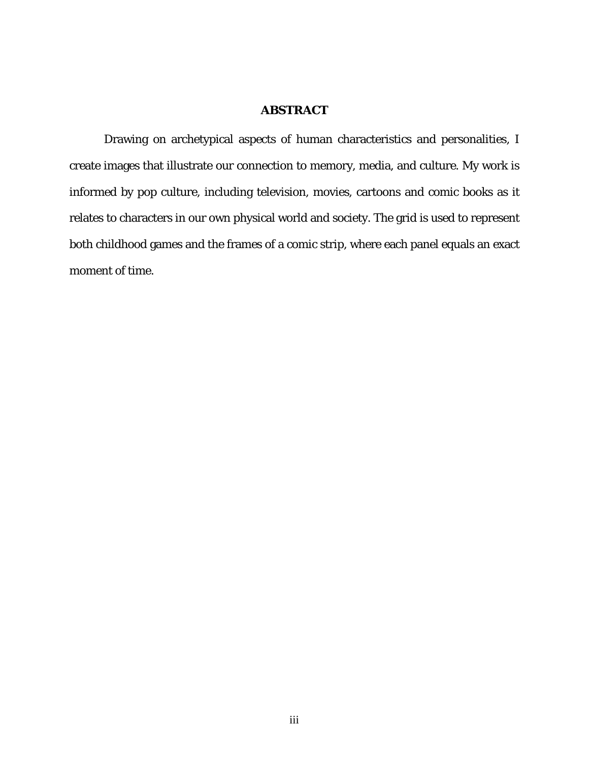## **ABSTRACT**

Drawing on archetypical aspects of human characteristics and personalities, I create images that illustrate our connection to memory, media, and culture. My work is informed by pop culture, including television, movies, cartoons and comic books as it relates to characters in our own physical world and society. The grid is used to represent both childhood games and the frames of a comic strip, where each panel equals an exact moment of time.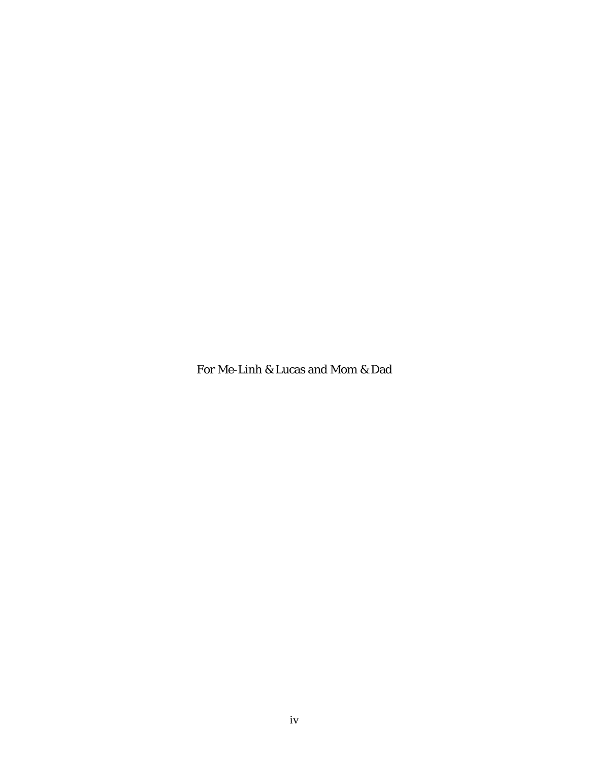For Me-Linh & Lucas and Mom & Dad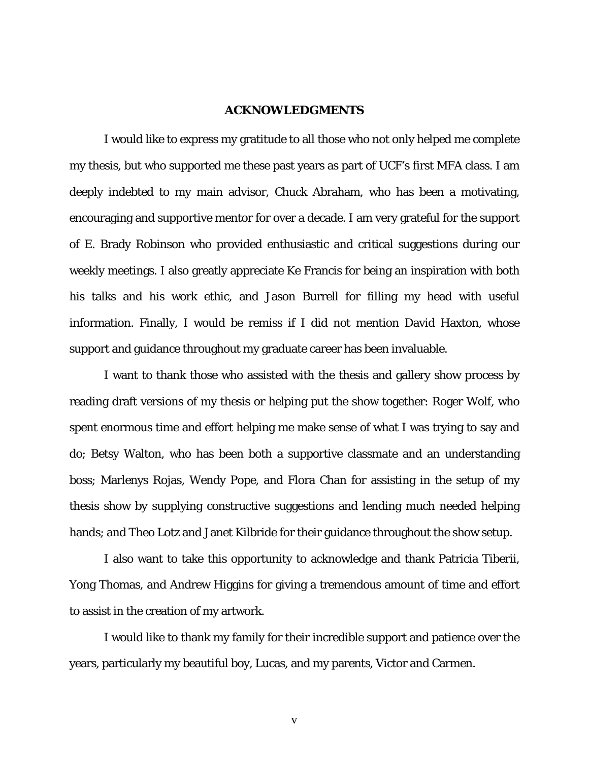## **ACKNOWLEDGMENTS**

I would like to express my gratitude to all those who not only helped me complete my thesis, but who supported me these past years as part of UCF's first MFA class. I am deeply indebted to my main advisor, Chuck Abraham, who has been a motivating, encouraging and supportive mentor for over a decade. I am very grateful for the support of E. Brady Robinson who provided enthusiastic and critical suggestions during our weekly meetings. I also greatly appreciate Ke Francis for being an inspiration with both his talks and his work ethic, and Jason Burrell for filling my head with useful information. Finally, I would be remiss if I did not mention David Haxton, whose support and guidance throughout my graduate career has been invaluable.

I want to thank those who assisted with the thesis and gallery show process by reading draft versions of my thesis or helping put the show together: Roger Wolf, who spent enormous time and effort helping me make sense of what I was trying to say and do; Betsy Walton, who has been both a supportive classmate and an understanding boss; Marlenys Rojas, Wendy Pope, and Flora Chan for assisting in the setup of my thesis show by supplying constructive suggestions and lending much needed helping hands; and Theo Lotz and Janet Kilbride for their guidance throughout the show setup.

I also want to take this opportunity to acknowledge and thank Patricia Tiberii, Yong Thomas, and Andrew Higgins for giving a tremendous amount of time and effort to assist in the creation of my artwork.

I would like to thank my family for their incredible support and patience over the years, particularly my beautiful boy, Lucas, and my parents, Victor and Carmen.

v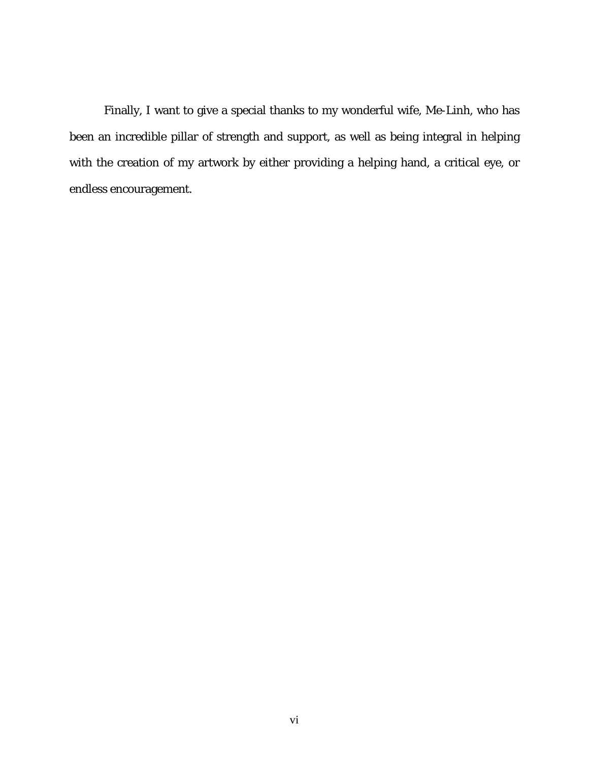Finally, I want to give a special thanks to my wonderful wife, Me-Linh, who has been an incredible pillar of strength and support, as well as being integral in helping with the creation of my artwork by either providing a helping hand, a critical eye, or endless encouragement.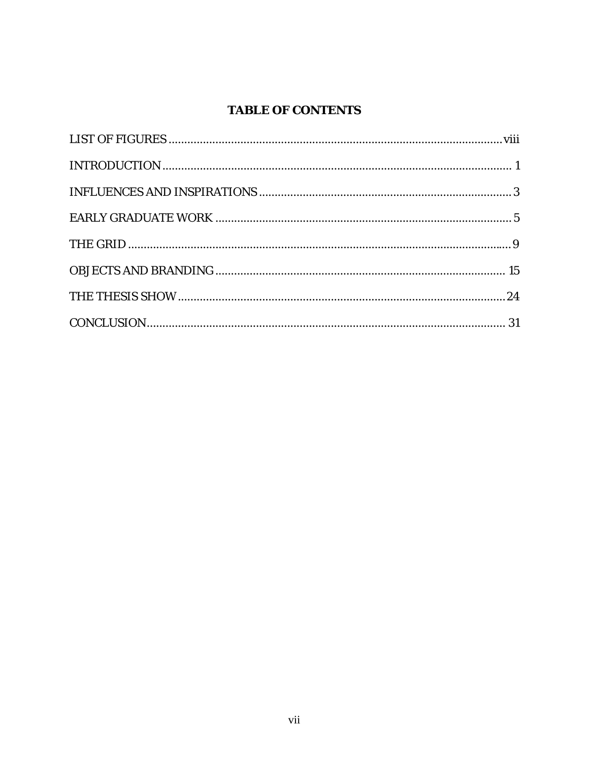## **TABLE OF CONTENTS**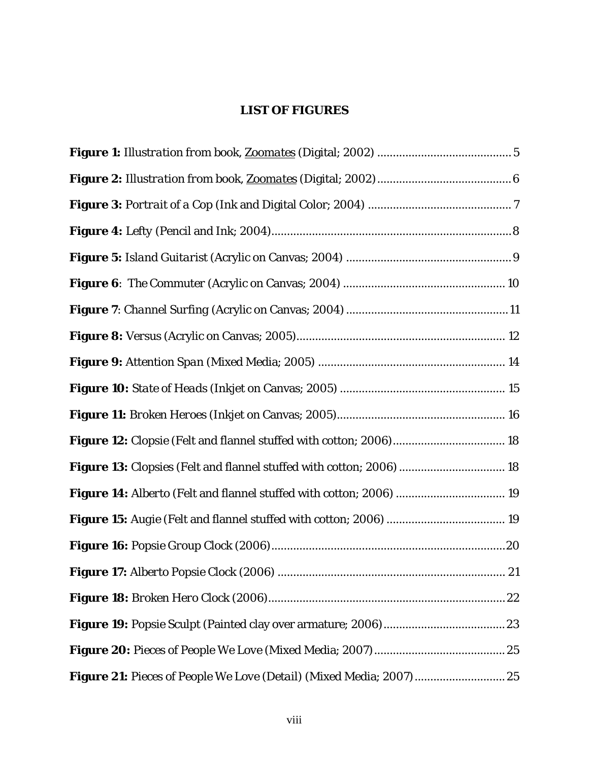## <span id="page-8-0"></span>**LIST OF FIGURES**

| Figure 13: Clopsies (Felt and flannel stuffed with cotton; 2006)  18 |
|----------------------------------------------------------------------|
| Figure 14: Alberto (Felt and flannel stuffed with cotton; 2006)  19  |
|                                                                      |
|                                                                      |
| 21                                                                   |
|                                                                      |
|                                                                      |
|                                                                      |
|                                                                      |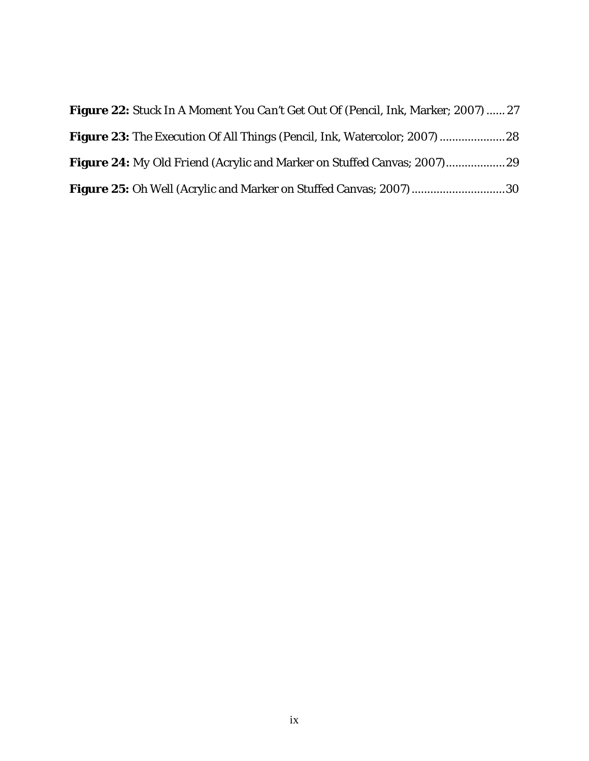| <b>Figure 22:</b> Stuck In A Moment You Can't Get Out Of (Pencil, Ink, Marker; 2007)  27 |  |
|------------------------------------------------------------------------------------------|--|
|                                                                                          |  |
|                                                                                          |  |
| <b>Figure 25:</b> <i>Oh Well</i> (Acrylic and Marker on Stuffed Canvas; 2007) 30         |  |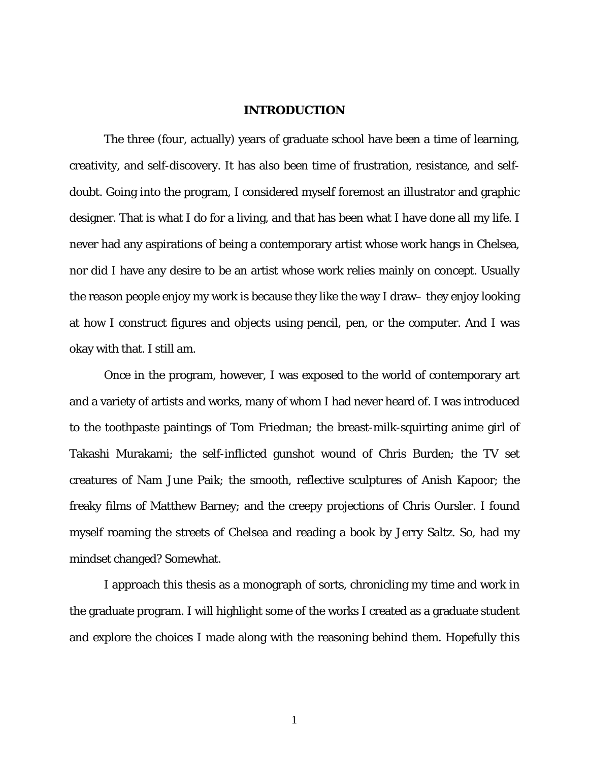## <span id="page-10-0"></span>**INTRODUCTION**

The three (*four*, actually) years of graduate school have been a time of learning, creativity, and self-discovery. It has also been time of frustration, resistance, and selfdoubt. Going into the program, I considered myself foremost an illustrator and graphic designer. That is what I do for a living, and that has been what I have done all my life. I never had any aspirations of being a contemporary artist whose work hangs in Chelsea, nor did I have any desire to be an artist whose work relies mainly on concept. Usually the reason people enjoy my work is because they like the way I draw– they enjoy looking at how I construct figures and objects using pencil, pen, or the computer. And I was okay with that. I still am.

Once in the program, however, I was exposed to the world of contemporary art and a variety of artists and works, many of whom I had never heard of. I was introduced to the toothpaste paintings of Tom Friedman; the breast-milk-squirting anime girl of Takashi Murakami; the self-inflicted gunshot wound of Chris Burden; the TV set creatures of Nam June Paik; the smooth, reflective sculptures of Anish Kapoor; the freaky films of Matthew Barney; and the creepy projections of Chris Oursler. I found myself roaming the streets of Chelsea and reading a book by Jerry Saltz. So, had my mindset changed? Somewhat.

I approach this thesis as a monograph of sorts, chronicling my time and work in the graduate program. I will highlight some of the works I created as a graduate student and explore the choices I made along with the reasoning behind them. Hopefully this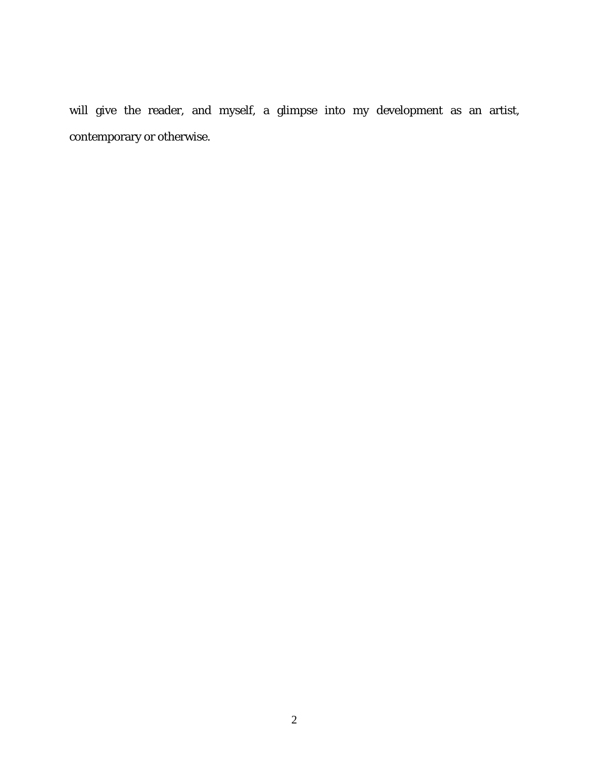will give the reader, and myself, a glimpse into my development as an artist, contemporary or otherwise.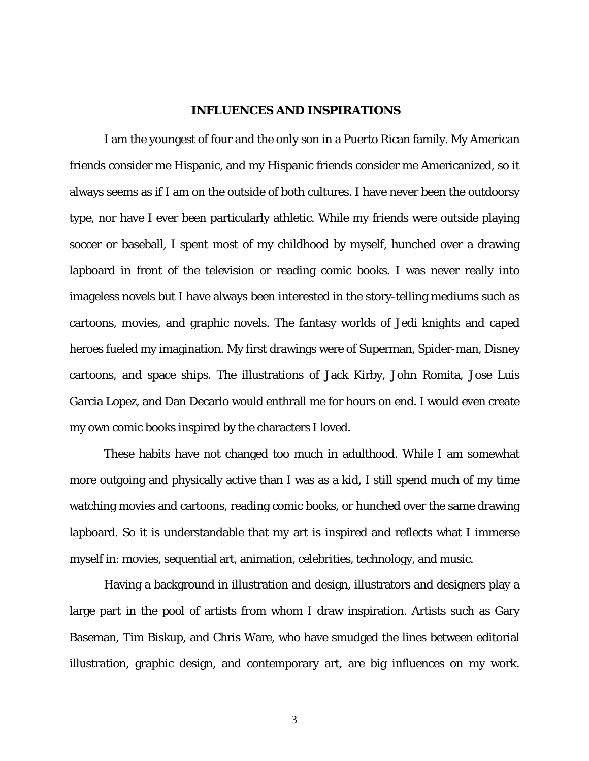## <span id="page-12-0"></span> **INFLUENCES AND INSPIRATIONS**

I am the youngest of four and the only son in a Puerto Rican family. My American friends consider me Hispanic, and my Hispanic friends consider me Americanized, so it always seems as if I am on the outside of both cultures. I have never been the outdoorsy type, nor have I ever been particularly athletic. While my friends were outside playing soccer or baseball, I spent most of my childhood by myself, hunched over a drawing lapboard in front of the television or reading comic books. I was never really into imageless novels but I have always been interested in the story-telling mediums such as cartoons, movies, and graphic novels. The fantasy worlds of Jedi knights and caped heroes fueled my imagination. My first drawings were of Superman, Spider-man, Disney cartoons, and space ships. The illustrations of Jack Kirby, John Romita, Jose Luis Garcia Lopez, and Dan Decarlo would enthrall me for hours on end. I would even create my own comic books inspired by the characters I loved.

These habits have not changed too much in adulthood. While I am somewhat more outgoing and physically active than I was as a kid, I still spend much of my time watching movies and cartoons, reading comic books, or hunched over the same drawing lapboard. So it is understandable that my art is inspired and reflects what I immerse myself in: movies, sequential art, animation, celebrities, technology, and music.

Having a background in illustration and design, illustrators and designers play a large part in the pool of artists from whom I draw inspiration. Artists such as Gary Baseman, Tim Biskup, and Chris Ware, who have smudged the lines between editorial illustration, graphic design, and contemporary art, are big influences on my work.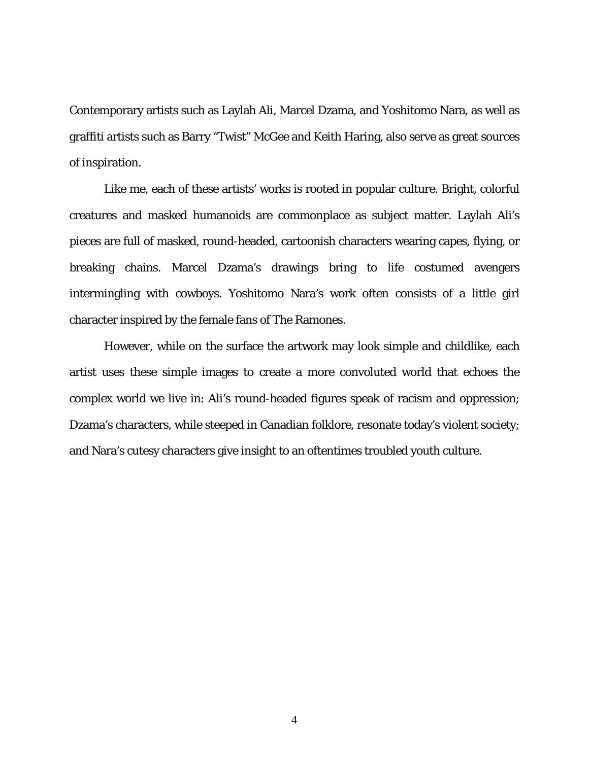Contemporary artists such as Laylah Ali, Marcel Dzama, and Yoshitomo Nara, as well as graffiti artists such as Barry "Twist" McGee and Keith Haring, also serve as great sources of inspiration.

Like me, each of these artists' works is rooted in popular culture. Bright, colorful creatures and masked humanoids are commonplace as subject matter. Laylah Ali's pieces are full of masked, round-headed, cartoonish characters wearing capes, flying, or breaking chains. Marcel Dzama's drawings bring to life costumed avengers intermingling with cowboys. Yoshitomo Nara's work often consists of a little girl character inspired by the female fans of The Ramones.

However, while on the surface the artwork may look simple and childlike, each artist uses these simple images to create a more convoluted world that echoes the complex world we live in: Ali's round-headed figures speak of racism and oppression; Dzama's characters, while steeped in Canadian folklore, resonate today's violent society; and Nara's cutesy characters give insight to an oftentimes troubled youth culture.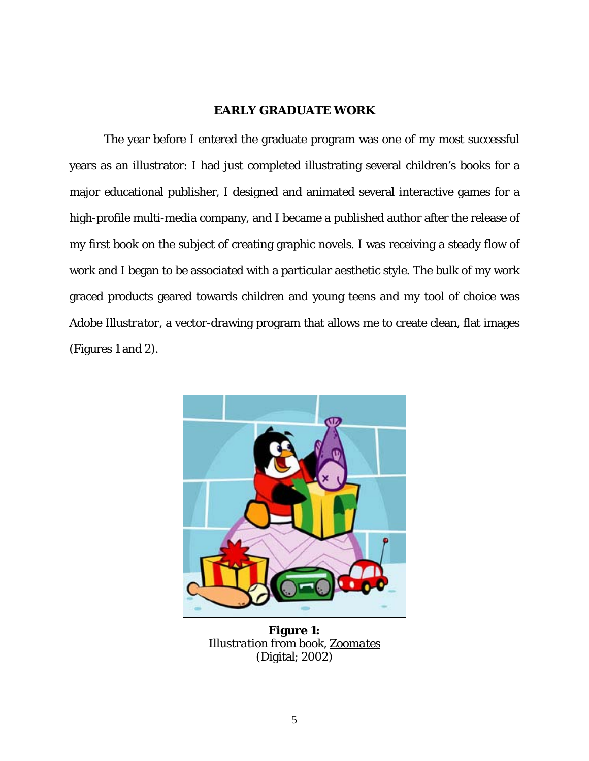## <span id="page-14-0"></span>**EARLY GRADUATE WORK**

The year before I entered the graduate program was one of my most successful years as an illustrator: I had just completed illustrating several children's books for a major educational publisher, I designed and animated several interactive games for a high-profile multi-media company, and I became a published author after the release of my first book on the subject of creating graphic novels. I was receiving a steady flow of work and I began to be associated with a particular aesthetic style. The bulk of my work graced products geared towards children and young teens and my tool of choice was *Adobe Illustrator*, a vector-drawing program that allows me to create clean, flat images (Figures 1 and 2).

<span id="page-14-1"></span>

**Figure 1:** *Illustration from book, Zoomates* (Digital; 2002)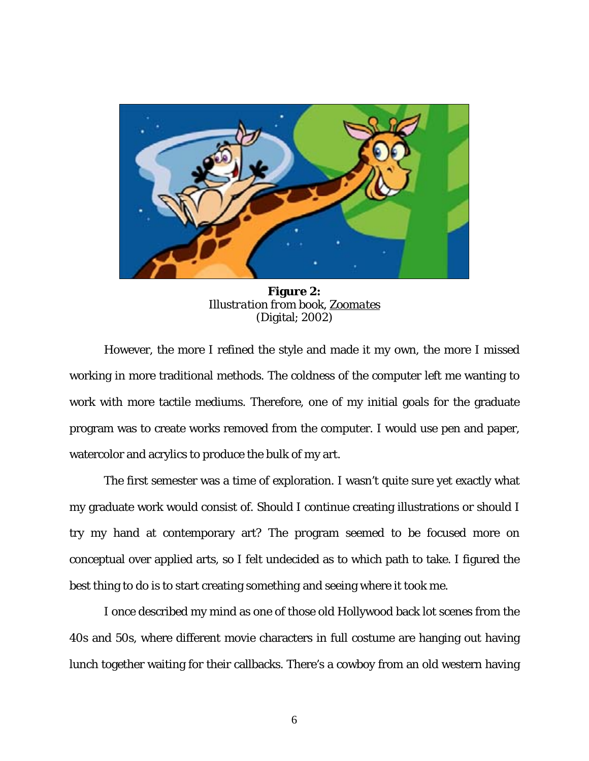<span id="page-15-0"></span>

**Figure 2:** *Illustration from book, Zoomates* (Digital; 2002)

However, the more I refined the style and made it my own, the more I missed working in more traditional methods. The coldness of the computer left me wanting to work with more tactile mediums. Therefore, one of my initial goals for the graduate program was to create works removed from the computer. I would use pen and paper, watercolor and acrylics to produce the bulk of my art.

The first semester was a time of exploration. I wasn't quite sure yet exactly what my graduate work would consist of. Should I continue creating illustrations or should I try my hand at contemporary art? The program seemed to be focused more on conceptual over applied arts, so I felt undecided as to which path to take. I figured the best thing to do is to start creating *something* and seeing where it took me.

I once described my mind as one of those old Hollywood back lot scenes from the 40s and 50s, where different movie characters in full costume are hanging out having lunch together waiting for their callbacks. There's a cowboy from an old western having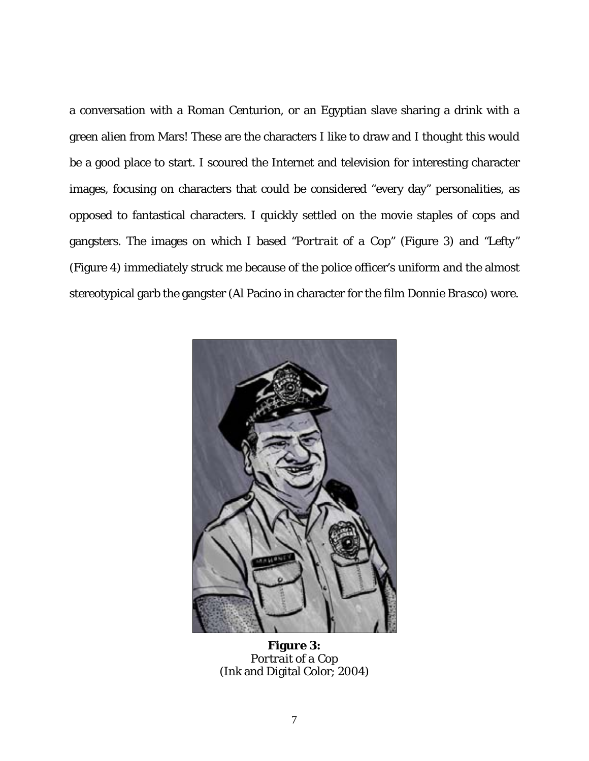a conversation with a Roman Centurion, or an Egyptian slave sharing a drink with a green alien from Mars! These are the characters I like to draw and I thought this would be a good place to start. I scoured the Internet and television for interesting character images, focusing on characters that could be considered "every day" personalities, as opposed to fantastical characters. I quickly settled on the movie staples of cops and gangsters. The images on which I based *"Portrait of a Cop"* (Figure 3) and *"Lefty"* (Figure 4) immediately struck me because of the police officer's uniform and the almost stereotypical garb the gangster (Al Pacino in character for the film *Donnie Brasco*) wore.

<span id="page-16-0"></span>

**Figure 3:** *Portrait of a Cop* (Ink and Digital Color; 2004)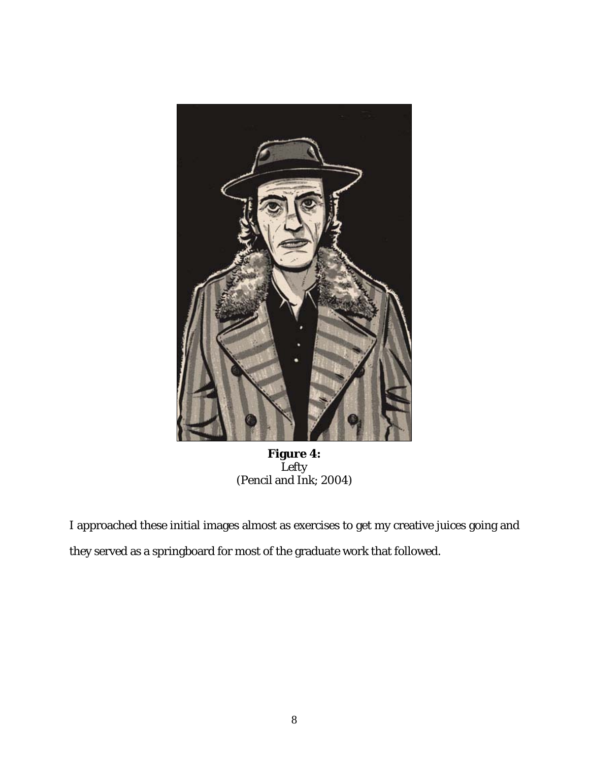<span id="page-17-0"></span>

**Figure 4:**  *Lefty* (Pencil and Ink; 2004)

I approached these initial images almost as exercises to get my creative juices going and they served as a springboard for most of the graduate work that followed.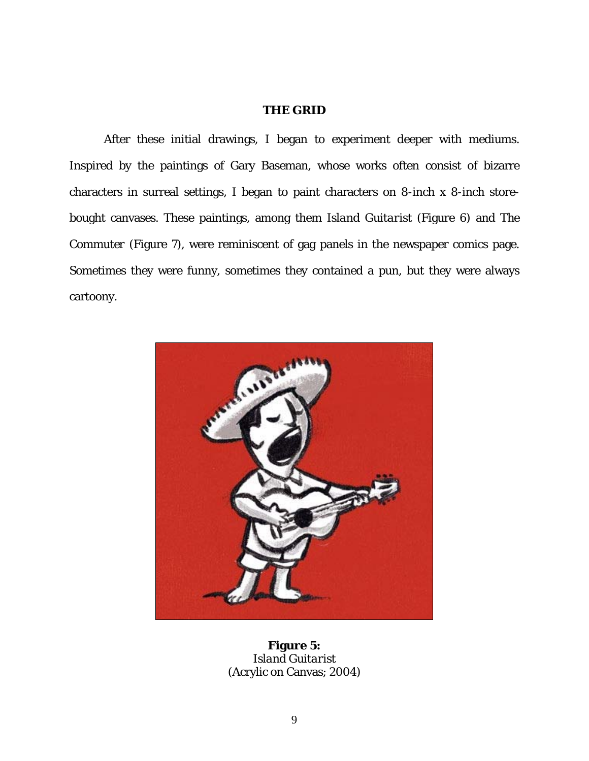## <span id="page-18-0"></span>**THE GRID**

After these initial drawings, I began to experiment deeper with mediums. Inspired by the paintings of Gary Baseman, whose works often consist of bizarre characters in surreal settings, I began to paint characters on 8-inch x 8-inch storebought canvases. These paintings, among them *Island Guitarist* (Figure 6) and *The Commuter* (Figure 7), were reminiscent of gag panels in the newspaper comics page. Sometimes they were funny, sometimes they contained a pun, but they were always cartoony.

<span id="page-18-1"></span>

**Figure 5:** *Island Guitarist* (Acrylic on Canvas; 2004)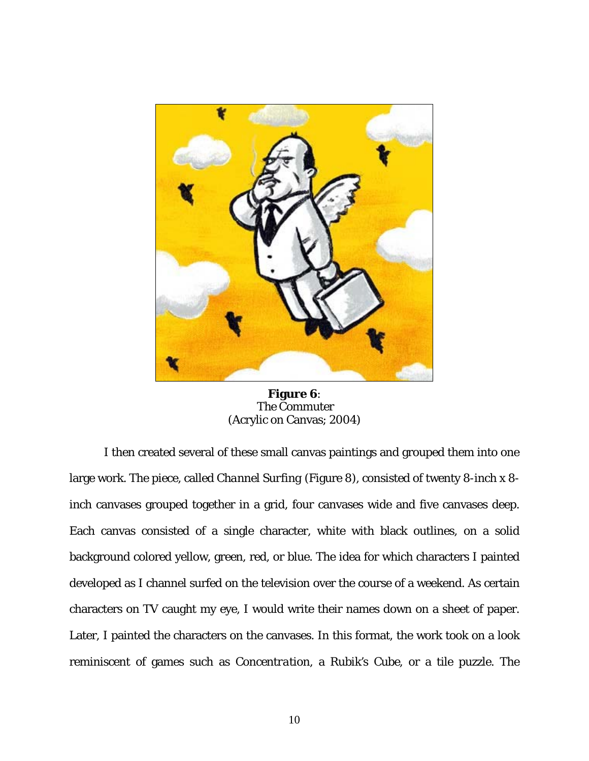<span id="page-19-0"></span>

**Figure 6**:  *The Commuter*  (Acrylic on Canvas; 2004)

I then created several of these small canvas paintings and grouped them into one large work. The piece, called *Channel Surfing* (Figure 8), consisted of twenty 8-inch x 8 inch canvases grouped together in a grid, four canvases wide and five canvases deep. Each canvas consisted of a single character, white with black outlines, on a solid background colored yellow, green, red, or blue. The idea for which characters I painted developed as I channel surfed on the television over the course of a weekend. As certain characters on TV caught my eye, I would write their names down on a sheet of paper. Later, I painted the characters on the canvases. In this format, the work took on a look reminiscent of games such as *Concentration*, a *Rubik's Cube*, or a tile puzzle. The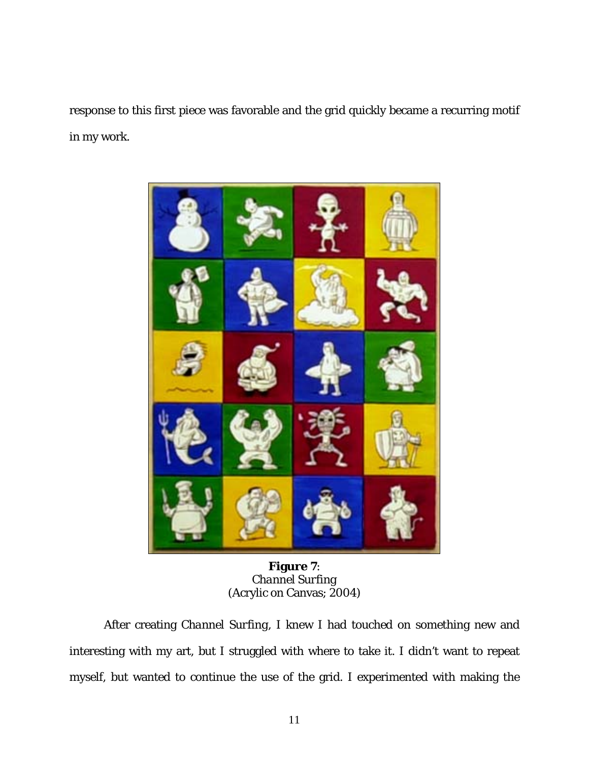response to this first piece was favorable and the grid quickly became a recurring motif in my work.

<span id="page-20-0"></span>

**Figure 7**: *Channel Surfing*  (Acrylic on Canvas; 2004)

After creating *Channel Surfing*, I knew I had touched on something new and interesting with my art, but I struggled with where to take it. I didn't want to repeat myself, but wanted to continue the use of the grid. I experimented with making the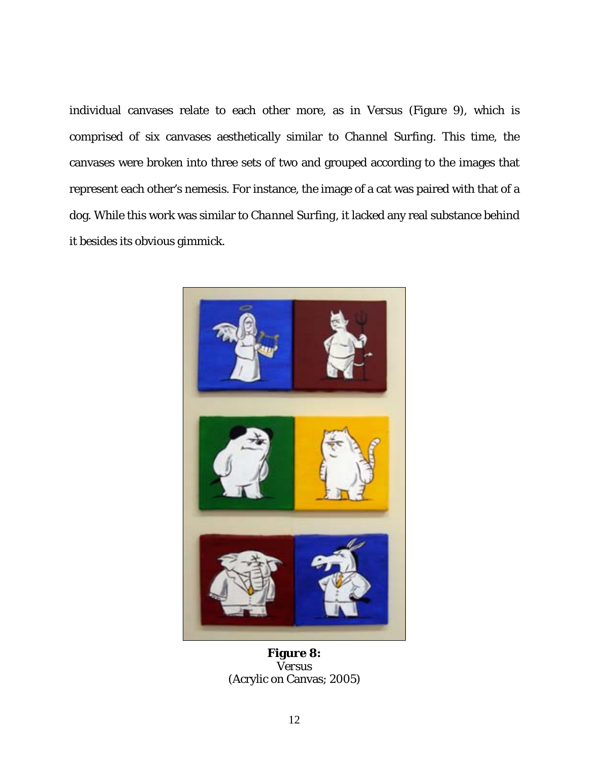individual canvases relate to each other more, as in *Versus* (Figure 9), which is comprised of six canvases aesthetically similar to *Channel Surfing*. This time, the canvases were broken into three sets of two and grouped according to the images that represent each other's nemesis. For instance, the image of a cat was paired with that of a dog. While this work was similar to *Channel Surfing*, it lacked any real substance behind it besides its obvious gimmick.

<span id="page-21-0"></span>

**Figure 8:** *Versus* (Acrylic on Canvas; 2005)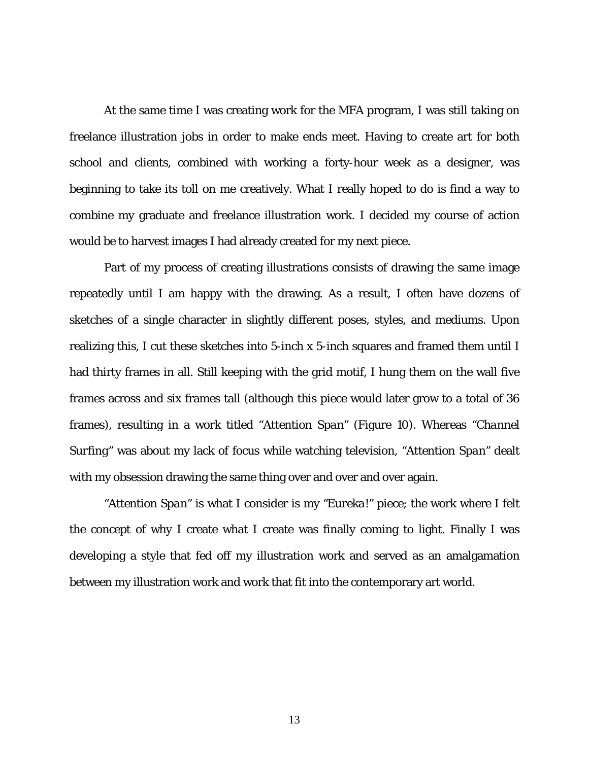At the same time I was creating work for the MFA program, I was still taking on freelance illustration jobs in order to make ends meet. Having to create art for both school and clients, combined with working a forty-hour week as a designer, was beginning to take its toll on me creatively. What I really hoped to do is find a way to combine my graduate and freelance illustration work. I decided my course of action would be to harvest images I had already created for my next piece.

Part of my process of creating illustrations consists of drawing the same image repeatedly until I am happy with the drawing. As a result, I often have dozens of sketches of a single character in slightly different poses, styles, and mediums. Upon realizing this, I cut these sketches into 5-inch x 5-inch squares and framed them until I had thirty frames in all. Still keeping with the grid motif, I hung them on the wall five frames across and six frames tall (although this piece would later grow to a total of 36 frames), resulting in a work titled "*Attention Span"* (Figure 10). Whereas "*Channel Surfing"* was about my lack of focus while watching television, "*Attention Span"* dealt with my obsession drawing the same thing over and over and over again.

*"Attention Span"* is what I consider is my *"Eureka!"* piece; the work where I felt the concept of why I create what I create was finally coming to light. Finally I was developing a style that fed off my illustration work and served as an amalgamation between my illustration work and work that fit into the contemporary art world.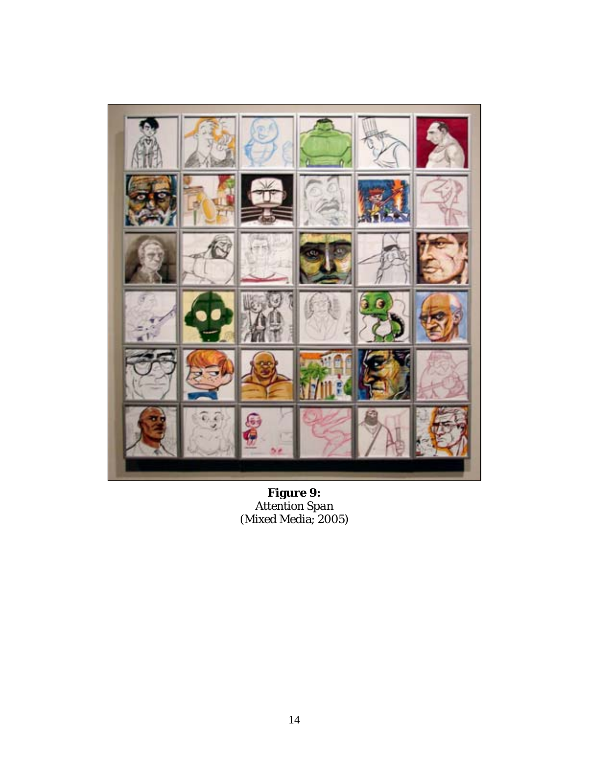<span id="page-23-0"></span>

**Figure 9:** *Attention Span* (Mixed Media; 2005)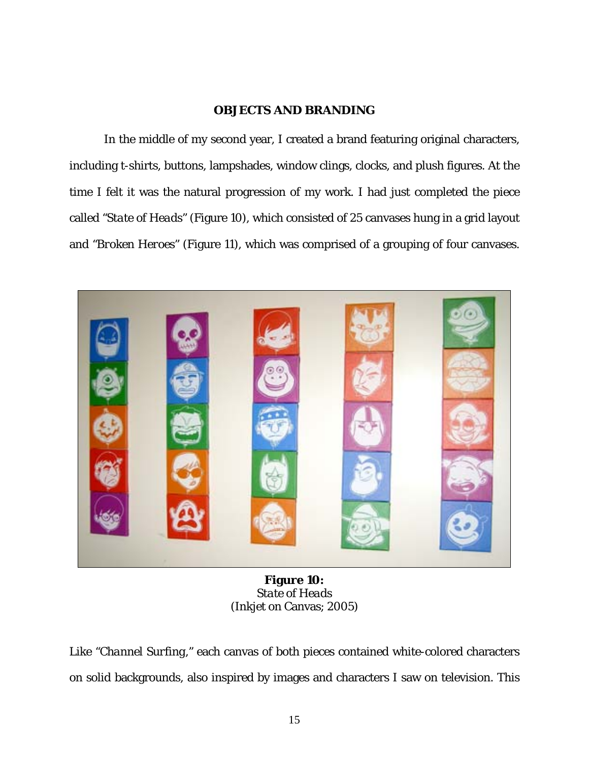## <span id="page-24-1"></span><span id="page-24-0"></span>**OBJECTS AND BRANDING**

In the middle of my second year, I created a brand featuring original characters, including t-shirts, buttons, lampshades, window clings, clocks, and plush figures. At the time I felt it was the natural progression of my work. I had just completed the piece called *"State of Heads"* (Figure 10), which consisted of 25 canvases hung in a grid layout and *"Broken Heroes"* (Figure 11), which was comprised of a grouping of four canvases.



**Figure 10:** *State of Heads* (Inkjet on Canvas; 2005)

Like *"Channel Surfing,"* each canvas of both pieces contained white-colored characters on solid backgrounds, also inspired by images and characters I saw on television. This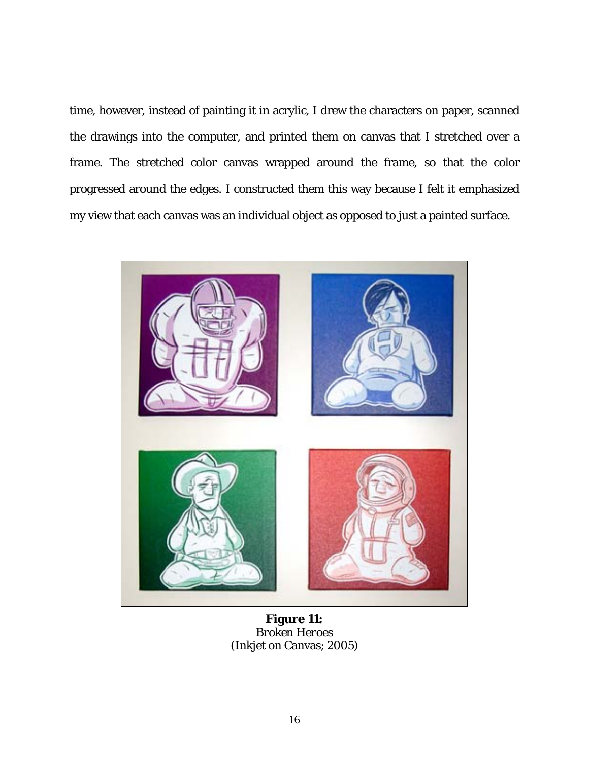time, however, instead of painting it in acrylic, I drew the characters on paper, scanned the drawings into the computer, and printed them on canvas that I stretched over a frame. The stretched color canvas wrapped around the frame, so that the color progressed around the edges. I constructed them this way because I felt it emphasized my view that each canvas was an individual object as opposed to just a painted surface.

<span id="page-25-0"></span>

**Figure 11:** *Broken Heroes* (Inkjet on Canvas; 2005)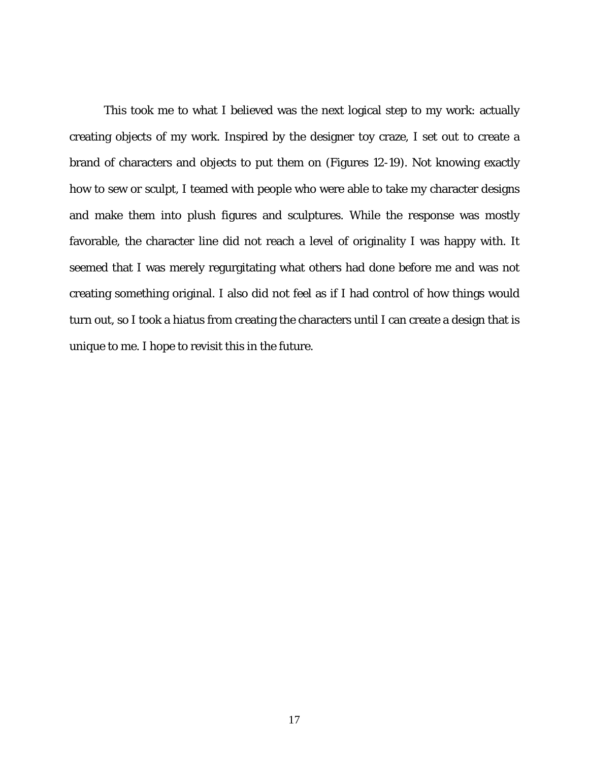This took me to what I believed was the next logical step to my work: actually creating objects of my work. Inspired by the designer toy craze, I set out to create a brand of characters and objects to put them on (Figures 12-19). Not knowing exactly how to sew or sculpt, I teamed with people who were able to take my character designs and make them into plush figures and sculptures. While the response was mostly favorable, the character line did not reach a level of originality I was happy with. It seemed that I was merely regurgitating what others had done before me and was not creating something original. I also did not feel as if I had control of how things would turn out, so I took a hiatus from creating the characters until I can create a design that is unique to me. I hope to revisit this in the future.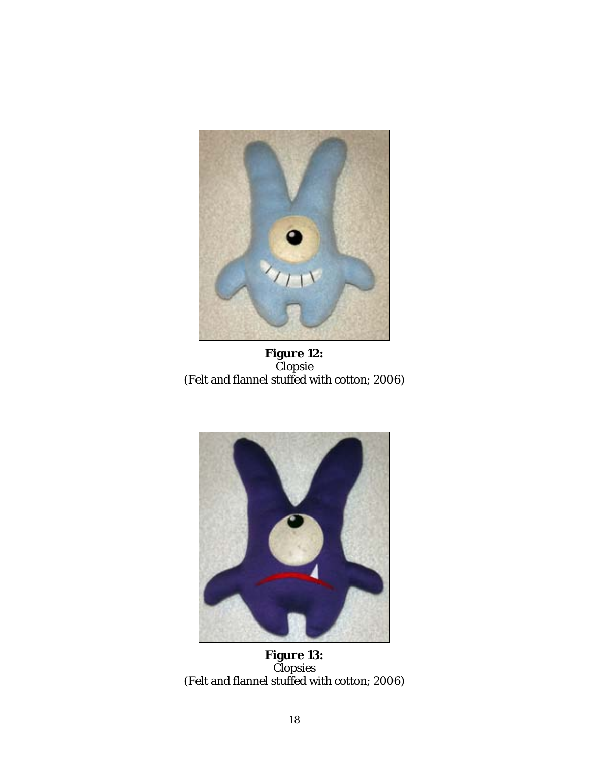<span id="page-27-0"></span>

**Figure 12:** *Clopsie* (Felt and flannel stuffed with cotton; 2006)

<span id="page-27-1"></span>

**Figure 13:** *Clopsies* (Felt and flannel stuffed with cotton; 2006)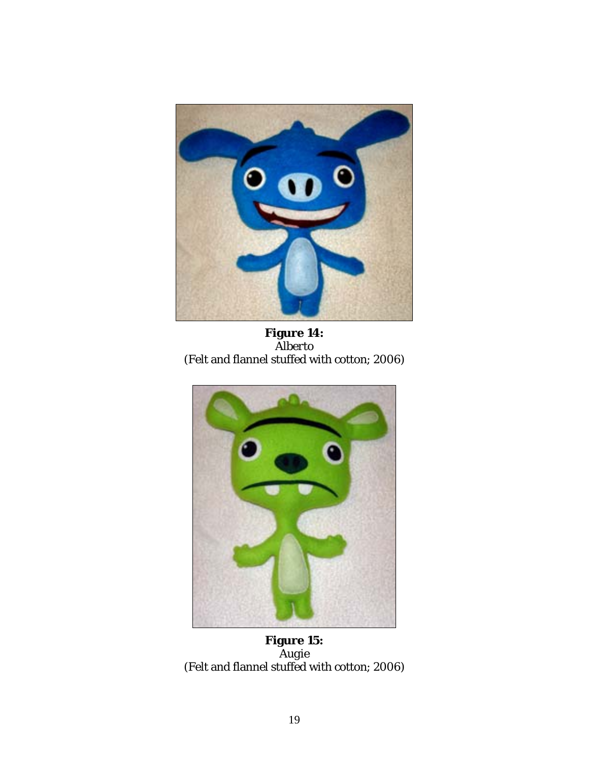<span id="page-28-0"></span>

**Figure 14:** *Alberto* (Felt and flannel stuffed with cotton; 2006)

<span id="page-28-1"></span>

**Figure 15:** *Augie* (Felt and flannel stuffed with cotton; 2006)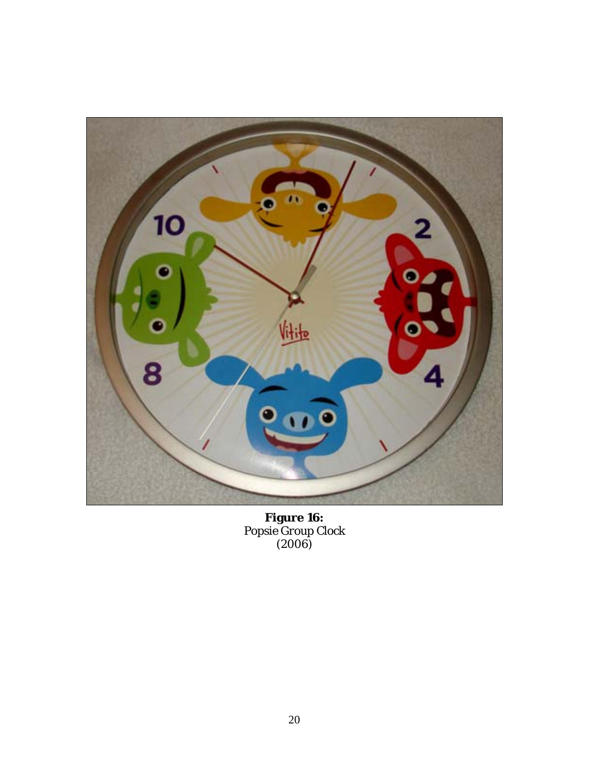<span id="page-29-0"></span>

**Figure 16:** *Popsie Group Clock* (2006)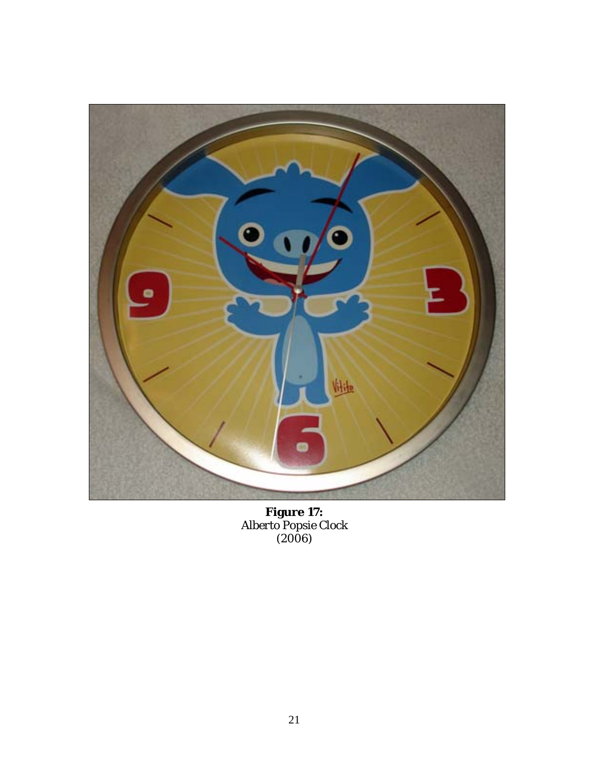<span id="page-30-0"></span>

**Figure 17:** *Alberto Popsie Clock* (2006)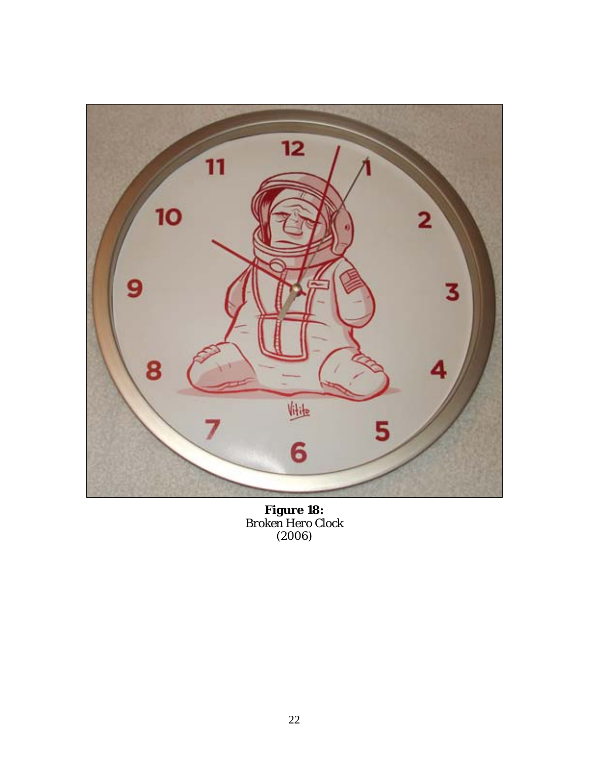<span id="page-31-0"></span>

**Figure 18:** *Broken Hero Clock* (2006)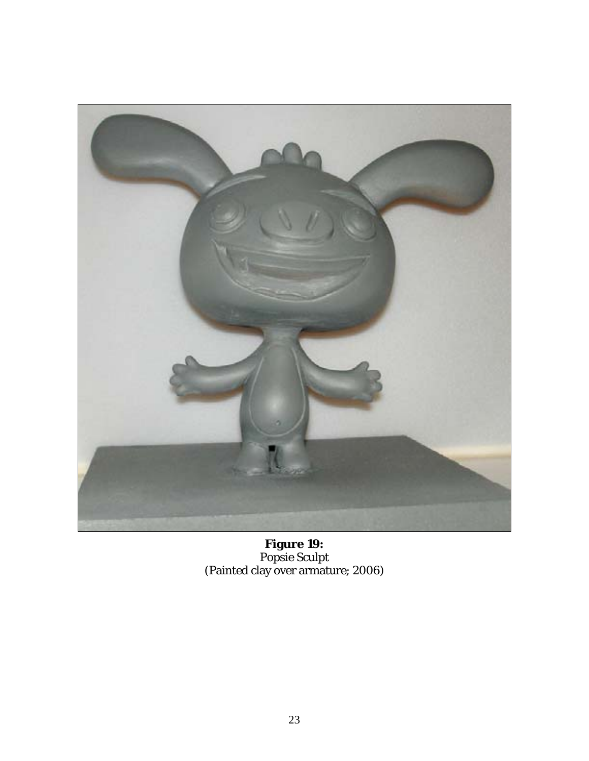<span id="page-32-0"></span>

**Figure 19:** *Popsie Sculpt* (Painted clay over armature; 2006)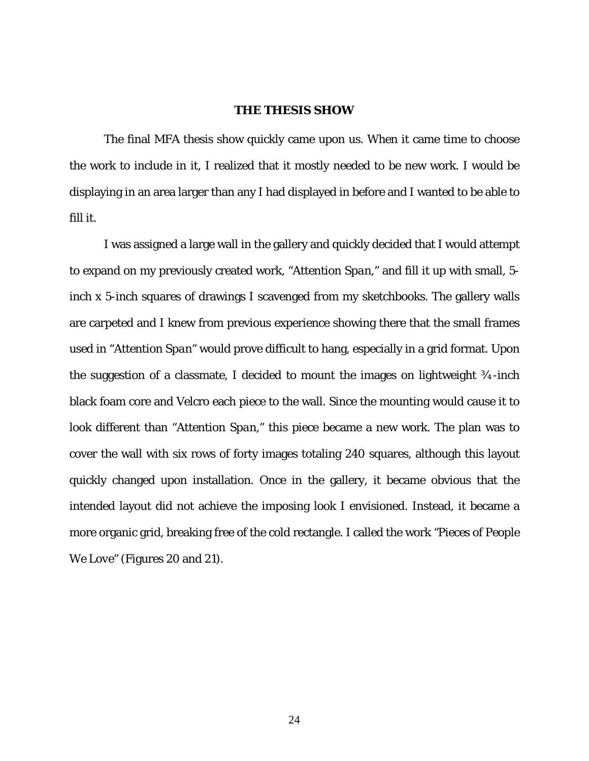#### <span id="page-33-0"></span>**THE THESIS SHOW**

The final MFA thesis show quickly came upon us. When it came time to choose the work to include in it, I realized that it mostly needed to be new work. I would be displaying in an area larger than any I had displayed in before and I wanted to be able to fill it.

I was assigned a large wall in the gallery and quickly decided that I would attempt to expand on my previously created work, "*Attention Span*," and fill it up with small, 5 inch x 5-inch squares of drawings I scavenged from my sketchbooks. The gallery walls are carpeted and I knew from previous experience showing there that the small frames used in "*Attention Span"* would prove difficult to hang, especially in a grid format. Upon the suggestion of a classmate, I decided to mount the images on lightweight ¾-inch black foam core and Velcro each piece to the wall. Since the mounting would cause it to look different than "*Attention Span*," this piece became a new work. The plan was to cover the wall with six rows of forty images totaling 240 squares, although this layout quickly changed upon installation. Once in the gallery, it became obvious that the intended layout did not achieve the imposing look I envisioned. Instead, it became a more organic grid, breaking free of the cold rectangle. I called the work *"Pieces of People We Love"* (Figures 20 and 21).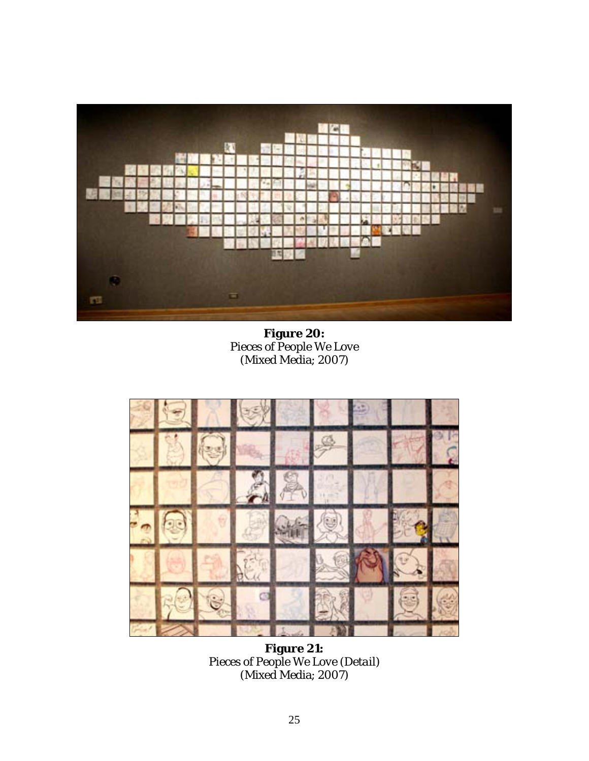<span id="page-34-0"></span>

<span id="page-34-1"></span>**Figure 20:** *Pieces of People We Love* (Mixed Media; 2007)



**Figure 21:** *Pieces of People We Love (Detail)* (Mixed Media; 2007)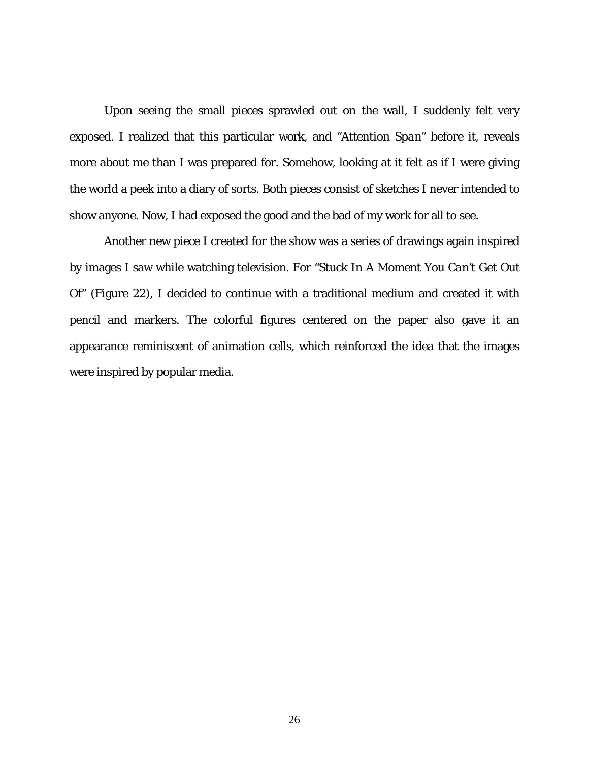Upon seeing the small pieces sprawled out on the wall, I suddenly felt very exposed. I realized that this particular work, and *"Attention Span"* before it, reveals more about me than I was prepared for. Somehow, looking at it felt as if I were giving the world a peek into a diary of sorts. Both pieces consist of sketches I never intended to show anyone. Now, I had exposed the good and the bad of my work for all to see.

Another new piece I created for the show was a series of drawings again inspired by images I saw while watching television. For *"Stuck In A Moment You Can't Get Out Of"* (Figure 22), I decided to continue with a traditional medium and created it with pencil and markers. The colorful figures centered on the paper also gave it an appearance reminiscent of animation cells, which reinforced the idea that the images were inspired by popular media.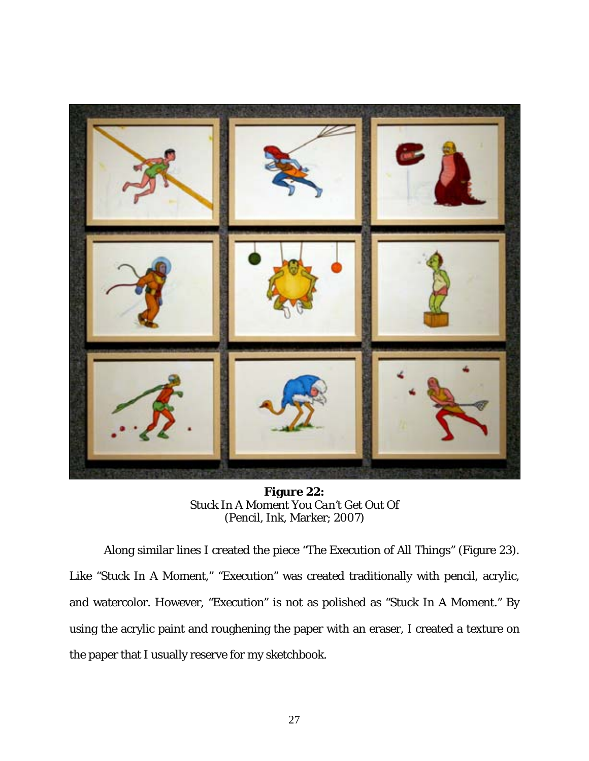<span id="page-36-0"></span>

**Figure 22:** *Stuck In A Moment You Can't Get Out Of* (Pencil, Ink, Marker; 2007)

Along similar lines I created the piece *"The Execution of All Things"* (Figure 23). Like *"Stuck In A Moment," "Execution"* was created traditionally with pencil, acrylic, and watercolor. However, *"Execution"* is not as polished as *"Stuck In A Moment."* By using the acrylic paint and roughening the paper with an eraser, I created a texture on the paper that I usually reserve for my sketchbook.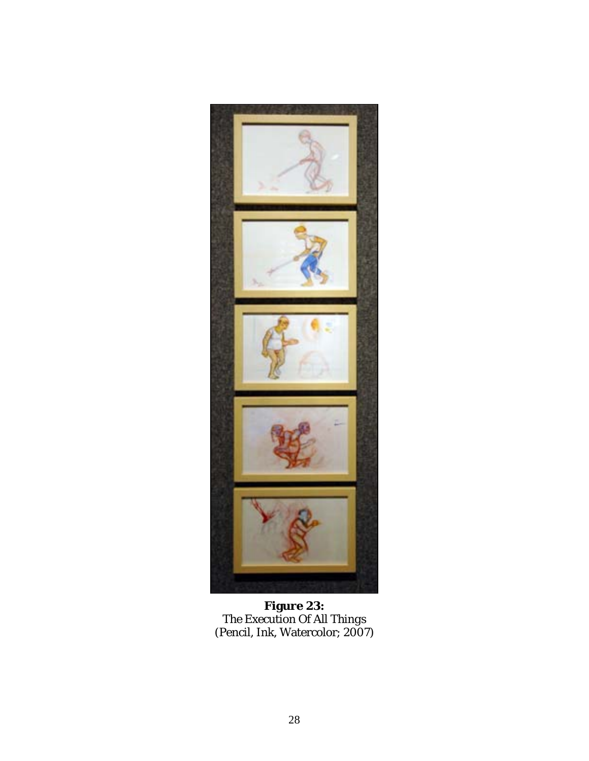<span id="page-37-0"></span>

**Figure 23:** *The Execution Of All Things* (Pencil, Ink, Watercolor; 2007)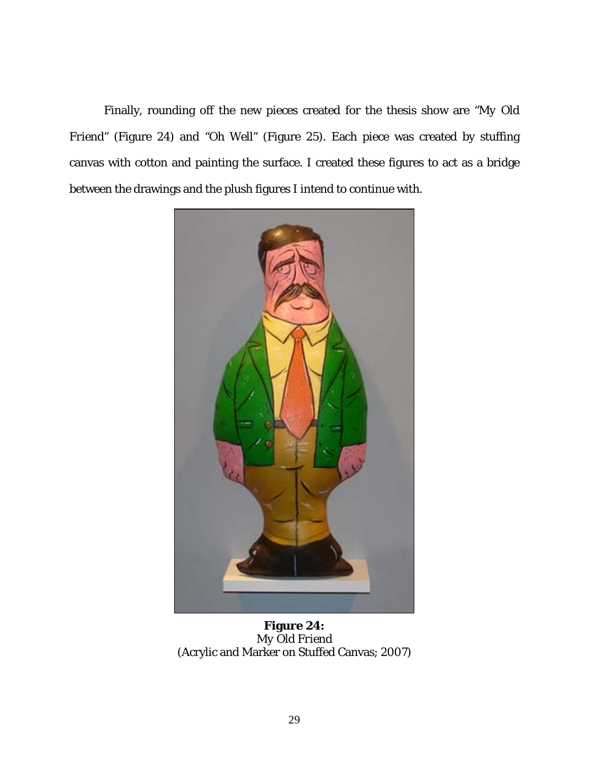Finally, rounding off the new pieces created for the thesis show are *"My Old Friend"* (Figure 24) and *"Oh Well"* (Figure 25). Each piece was created by stuffing canvas with cotton and painting the surface. I created these figures to act as a bridge between the drawings and the plush figures I intend to continue with.

<span id="page-38-0"></span>

**Figure 24:** *My Old Friend* (Acrylic and Marker on Stuffed Canvas; 2007)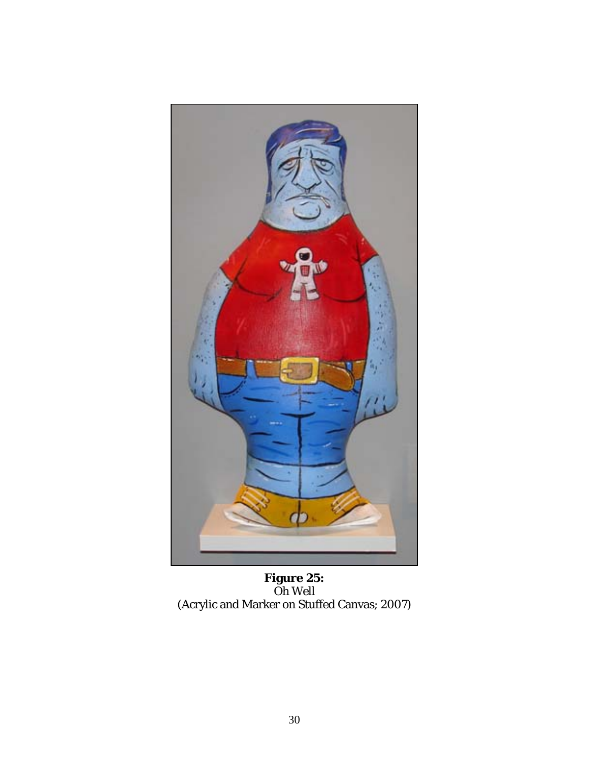<span id="page-39-0"></span>

**Figure 25:** *Oh Well* (Acrylic and Marker on Stuffed Canvas; 2007)